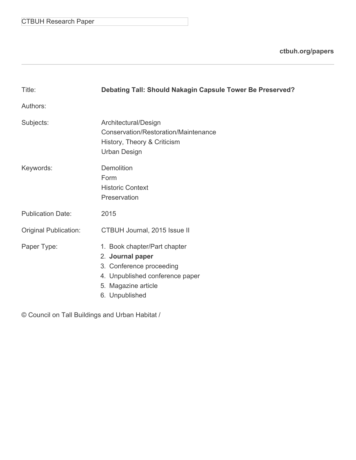|  | <b>CTBUH Research Paper</b> |  |
|--|-----------------------------|--|
|--|-----------------------------|--|

**[ctbuh.org/papers](http://ctbuh.org/papers)**

| Title:                       | Debating Tall: Should Nakagin Capsule Tower Be Preserved?                                                                                                |
|------------------------------|----------------------------------------------------------------------------------------------------------------------------------------------------------|
| Authors:                     |                                                                                                                                                          |
| Subjects:                    | Architectural/Design<br>Conservation/Restoration/Maintenance<br>History, Theory & Criticism<br><b>Urban Design</b>                                       |
| Keywords:                    | Demolition<br>Form<br><b>Historic Context</b><br>Preservation                                                                                            |
| <b>Publication Date:</b>     | 2015                                                                                                                                                     |
| <b>Original Publication:</b> | CTBUH Journal, 2015 Issue II                                                                                                                             |
| Paper Type:                  | 1. Book chapter/Part chapter<br>2. Journal paper<br>3. Conference proceeding<br>4. Unpublished conference paper<br>5. Magazine article<br>6. Unpublished |

© Council on Tall Buildings and Urban Habitat /